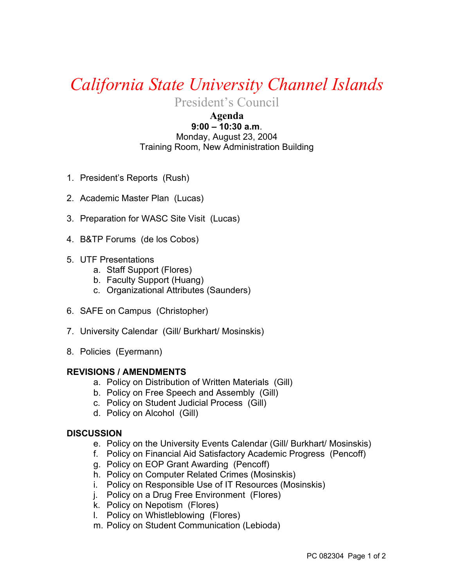## *California State University Channel Islands*

President's Council

## **Agenda 9:00 – 10:30 a.m**.

Monday, August 23, 2004 Training Room, New Administration Building

- 1. President's Reports (Rush)
- 2. Academic Master Plan (Lucas)
- 3. Preparation for WASC Site Visit (Lucas)
- 4. B&TP Forums (de los Cobos)
- 5. UTF Presentations
	- a. Staff Support (Flores)
	- b. Faculty Support (Huang)
	- c. Organizational Attributes (Saunders)
- 6. SAFE on Campus (Christopher)
- 7. University Calendar (Gill/ Burkhart/ Mosinskis)
- 8. Policies (Eyermann)

## **REVISIONS / AMENDMENTS**

- a. Policy on Distribution of Written Materials (Gill)
- b. Policy on Free Speech and Assembly (Gill)
- c. Policy on Student Judicial Process (Gill)
- d. Policy on Alcohol (Gill)

## **DISCUSSION**

- e. Policy on the University Events Calendar (Gill/ Burkhart/ Mosinskis)
- f. Policy on Financial Aid Satisfactory Academic Progress (Pencoff)
- g. Policy on EOP Grant Awarding (Pencoff)
- h. Policy on Computer Related Crimes (Mosinskis)
- i. Policy on Responsible Use of IT Resources (Mosinskis)
- j. Policy on a Drug Free Environment (Flores)
- k. Policy on Nepotism (Flores)
- l. Policy on Whistleblowing (Flores)
- m. Policy on Student Communication (Lebioda)